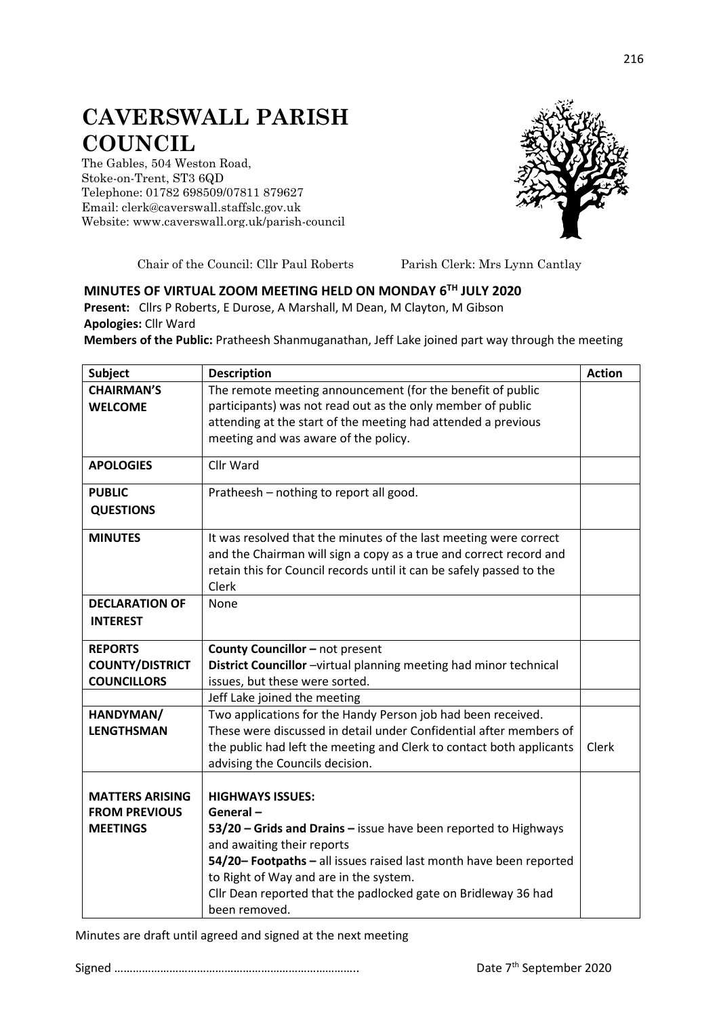## **CAVERSWALL PARISH COUNCIL**

The Gables, 504 Weston Road, Stoke-on-Trent, ST3 6QD Telephone: 01782 698509/07811 879627 Email: clerk@caverswall.staffslc.gov.uk Website: [www.c](http://www.dilhorneparishcouncil.co.uk/)averswall.org.uk/parish-council



Chair of the Council: Cllr Paul Roberts Parish Clerk: Mrs Lynn Cantlay

## **MINUTES OF VIRTUAL ZOOM MEETING HELD ON MONDAY 6 TH JULY 2020 Present:** Cllrs P Roberts, E Durose, A Marshall, M Dean, M Clayton, M Gibson

**Apologies:** Cllr Ward

**Members of the Public:** Pratheesh Shanmuganathan, Jeff Lake joined part way through the meeting

| <b>Subject</b>         | <b>Description</b>                                                                            | <b>Action</b> |
|------------------------|-----------------------------------------------------------------------------------------------|---------------|
| <b>CHAIRMAN'S</b>      | The remote meeting announcement (for the benefit of public                                    |               |
| <b>WELCOME</b>         | participants) was not read out as the only member of public                                   |               |
|                        | attending at the start of the meeting had attended a previous                                 |               |
|                        | meeting and was aware of the policy.                                                          |               |
| <b>APOLOGIES</b>       | Cllr Ward                                                                                     |               |
| <b>PUBLIC</b>          | Pratheesh - nothing to report all good.                                                       |               |
| <b>QUESTIONS</b>       |                                                                                               |               |
| <b>MINUTES</b>         | It was resolved that the minutes of the last meeting were correct                             |               |
|                        | and the Chairman will sign a copy as a true and correct record and                            |               |
|                        | retain this for Council records until it can be safely passed to the                          |               |
|                        | Clerk                                                                                         |               |
| <b>DECLARATION OF</b>  | None                                                                                          |               |
| <b>INTEREST</b>        |                                                                                               |               |
| <b>REPORTS</b>         | County Councillor - not present                                                               |               |
| <b>COUNTY/DISTRICT</b> | District Councillor -virtual planning meeting had minor technical                             |               |
| <b>COUNCILLORS</b>     | issues, but these were sorted.                                                                |               |
|                        | Jeff Lake joined the meeting                                                                  |               |
| HANDYMAN/              | Two applications for the Handy Person job had been received.                                  |               |
| <b>LENGTHSMAN</b>      | These were discussed in detail under Confidential after members of                            |               |
|                        | the public had left the meeting and Clerk to contact both applicants                          | Clerk         |
|                        | advising the Councils decision.                                                               |               |
|                        |                                                                                               |               |
| <b>MATTERS ARISING</b> | <b>HIGHWAYS ISSUES:</b>                                                                       |               |
| <b>FROM PREVIOUS</b>   | General-                                                                                      |               |
| <b>MEETINGS</b>        | 53/20 - Grids and Drains - issue have been reported to Highways<br>and awaiting their reports |               |
|                        | 54/20-Footpaths - all issues raised last month have been reported                             |               |
|                        | to Right of Way and are in the system.                                                        |               |
|                        | Cllr Dean reported that the padlocked gate on Bridleway 36 had                                |               |
|                        | been removed.                                                                                 |               |

Minutes are draft until agreed and signed at the next meeting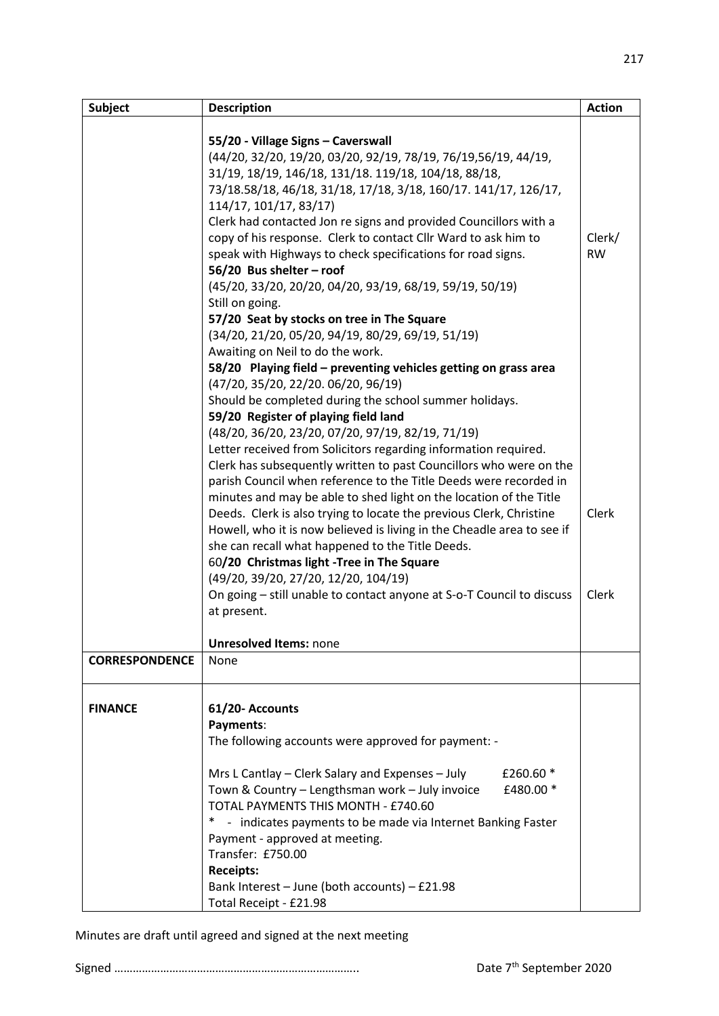| <b>Subject</b>        | <b>Description</b>                                                                      | <b>Action</b> |
|-----------------------|-----------------------------------------------------------------------------------------|---------------|
|                       |                                                                                         |               |
|                       | 55/20 - Village Signs - Caverswall                                                      |               |
|                       | (44/20, 32/20, 19/20, 03/20, 92/19, 78/19, 76/19,56/19, 44/19,                          |               |
|                       | 31/19, 18/19, 146/18, 131/18. 119/18, 104/18, 88/18,                                    |               |
|                       | 73/18.58/18, 46/18, 31/18, 17/18, 3/18, 160/17. 141/17, 126/17,                         |               |
|                       | 114/17, 101/17, 83/17)                                                                  |               |
|                       | Clerk had contacted Jon re signs and provided Councillors with a                        | Clerk/        |
|                       | copy of his response. Clerk to contact Cllr Ward to ask him to                          | <b>RW</b>     |
|                       | speak with Highways to check specifications for road signs.<br>56/20 Bus shelter - roof |               |
|                       | (45/20, 33/20, 20/20, 04/20, 93/19, 68/19, 59/19, 50/19)                                |               |
|                       | Still on going.                                                                         |               |
|                       | 57/20 Seat by stocks on tree in The Square                                              |               |
|                       | (34/20, 21/20, 05/20, 94/19, 80/29, 69/19, 51/19)                                       |               |
|                       | Awaiting on Neil to do the work.                                                        |               |
|                       | 58/20 Playing field - preventing vehicles getting on grass area                         |               |
|                       | (47/20, 35/20, 22/20. 06/20, 96/19)                                                     |               |
|                       | Should be completed during the school summer holidays.                                  |               |
|                       | 59/20 Register of playing field land                                                    |               |
|                       | (48/20, 36/20, 23/20, 07/20, 97/19, 82/19, 71/19)                                       |               |
|                       | Letter received from Solicitors regarding information required.                         |               |
|                       | Clerk has subsequently written to past Councillors who were on the                      |               |
|                       | parish Council when reference to the Title Deeds were recorded in                       |               |
|                       | minutes and may be able to shed light on the location of the Title                      |               |
|                       | Deeds. Clerk is also trying to locate the previous Clerk, Christine                     | Clerk         |
|                       | Howell, who it is now believed is living in the Cheadle area to see if                  |               |
|                       | she can recall what happened to the Title Deeds.                                        |               |
|                       | 60/20 Christmas light -Tree in The Square                                               |               |
|                       | (49/20, 39/20, 27/20, 12/20, 104/19)                                                    |               |
|                       | On going - still unable to contact anyone at S-o-T Council to discuss                   | Clerk         |
|                       | at present.                                                                             |               |
|                       | <b>Unresolved Items: none</b>                                                           |               |
| <b>CORRESPONDENCE</b> | None                                                                                    |               |
|                       |                                                                                         |               |
|                       |                                                                                         |               |
| <b>FINANCE</b>        | 61/20- Accounts                                                                         |               |
|                       | Payments:<br>The following accounts were approved for payment: -                        |               |
|                       |                                                                                         |               |
|                       | Mrs L Cantlay - Clerk Salary and Expenses - July<br>£260.60 *                           |               |
|                       | Town & Country - Lengthsman work - July invoice<br>£480.00 *                            |               |
|                       | TOTAL PAYMENTS THIS MONTH - £740.60                                                     |               |
|                       | - indicates payments to be made via Internet Banking Faster                             |               |
|                       | Payment - approved at meeting.                                                          |               |
|                       | Transfer: £750.00                                                                       |               |
|                       | <b>Receipts:</b>                                                                        |               |
|                       | Bank Interest - June (both accounts) - £21.98                                           |               |
|                       | Total Receipt - £21.98                                                                  |               |

Minutes are draft until agreed and signed at the next meeting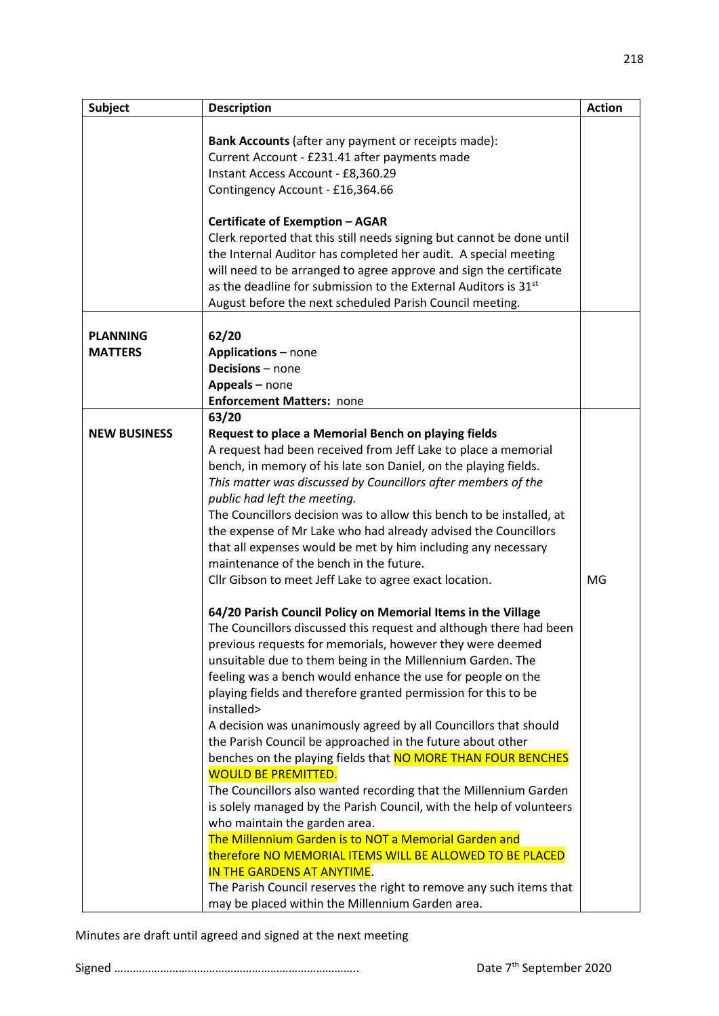| <b>Subject</b>      | <b>Description</b>                                                                                                                                                                                                                                                                                                                                                                                           | <b>Action</b> |
|---------------------|--------------------------------------------------------------------------------------------------------------------------------------------------------------------------------------------------------------------------------------------------------------------------------------------------------------------------------------------------------------------------------------------------------------|---------------|
|                     | Bank Accounts (after any payment or receipts made):<br>Current Account - £231.41 after payments made<br>Instant Access Account - £8,360.29                                                                                                                                                                                                                                                                   |               |
|                     | Contingency Account - £16,364.66                                                                                                                                                                                                                                                                                                                                                                             |               |
|                     | <b>Certificate of Exemption - AGAR</b>                                                                                                                                                                                                                                                                                                                                                                       |               |
|                     | Clerk reported that this still needs signing but cannot be done until<br>the Internal Auditor has completed her audit. A special meeting<br>will need to be arranged to agree approve and sign the certificate<br>as the deadline for submission to the External Auditors is 31 <sup>st</sup><br>August before the next scheduled Parish Council meeting.                                                    |               |
| <b>PLANNING</b>     | 62/20                                                                                                                                                                                                                                                                                                                                                                                                        |               |
| <b>MATTERS</b>      | <b>Applications - none</b>                                                                                                                                                                                                                                                                                                                                                                                   |               |
|                     | Decisions - none                                                                                                                                                                                                                                                                                                                                                                                             |               |
|                     | Appeals - none                                                                                                                                                                                                                                                                                                                                                                                               |               |
|                     | <b>Enforcement Matters: none</b>                                                                                                                                                                                                                                                                                                                                                                             |               |
| <b>NEW BUSINESS</b> | 63/20<br>Request to place a Memorial Bench on playing fields<br>A request had been received from Jeff Lake to place a memorial<br>bench, in memory of his late son Daniel, on the playing fields.                                                                                                                                                                                                            |               |
|                     | This matter was discussed by Councillors after members of the<br>public had left the meeting.                                                                                                                                                                                                                                                                                                                |               |
|                     | The Councillors decision was to allow this bench to be installed, at                                                                                                                                                                                                                                                                                                                                         |               |
|                     | the expense of Mr Lake who had already advised the Councillors<br>that all expenses would be met by him including any necessary                                                                                                                                                                                                                                                                              |               |
|                     | maintenance of the bench in the future.                                                                                                                                                                                                                                                                                                                                                                      |               |
|                     | Cllr Gibson to meet Jeff Lake to agree exact location.                                                                                                                                                                                                                                                                                                                                                       | MG            |
|                     | 64/20 Parish Council Policy on Memorial Items in the Village<br>The Councillors discussed this request and although there had been<br>previous requests for memorials, however they were deemed<br>unsuitable due to them being in the Millennium Garden. The<br>feeling was a bench would enhance the use for people on the<br>playing fields and therefore granted permission for this to be<br>installed> |               |
|                     | A decision was unanimously agreed by all Councillors that should<br>the Parish Council be approached in the future about other                                                                                                                                                                                                                                                                               |               |
|                     | benches on the playing fields that NO MORE THAN FOUR BENCHES                                                                                                                                                                                                                                                                                                                                                 |               |
|                     | <b>WOULD BE PREMITTED.</b>                                                                                                                                                                                                                                                                                                                                                                                   |               |
|                     | The Councillors also wanted recording that the Millennium Garden                                                                                                                                                                                                                                                                                                                                             |               |
|                     | is solely managed by the Parish Council, with the help of volunteers                                                                                                                                                                                                                                                                                                                                         |               |
|                     | who maintain the garden area.<br>The Millennium Garden is to NOT a Memorial Garden and                                                                                                                                                                                                                                                                                                                       |               |
|                     | therefore NO MEMORIAL ITEMS WILL BE ALLOWED TO BE PLACED                                                                                                                                                                                                                                                                                                                                                     |               |
|                     | IN THE GARDENS AT ANYTIME.                                                                                                                                                                                                                                                                                                                                                                                   |               |
|                     | The Parish Council reserves the right to remove any such items that                                                                                                                                                                                                                                                                                                                                          |               |
|                     | may be placed within the Millennium Garden area.                                                                                                                                                                                                                                                                                                                                                             |               |

Minutes are draft until agreed and signed at the next meeting